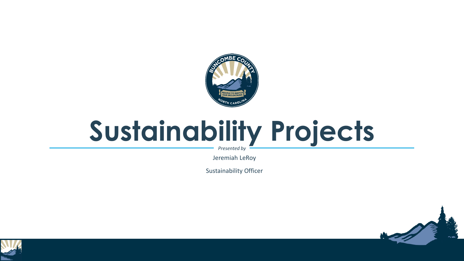

## **Sustainability Projects**

*Presented by*

Jeremiah LeRoy

Sustainability Officer



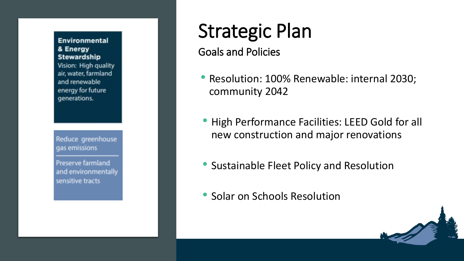#### Environmental & Energy **Stewardship**

Vision: High quality air, water, farmland and renewable energy for future generations.

Reduce greenhouse gas emissions

**Preserve farmland** and environmentally sensitive tracts

### Strategic Plan

Goals and Policies

- Resolution: 100% Renewable: internal 2030; community 2042
- High Performance Facilities: LEED Gold for all new construction and major renovations
- Sustainable Fleet Policy and Resolution
- Solar on Schools Resolution

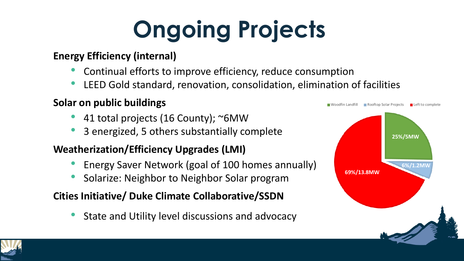# **Ongoing Projects**

#### **Energy Efficiency (internal)**

- Continual efforts to improve efficiency, reduce consumption
- LEED Gold standard, renovation, consolidation, elimination of facilities

#### **Solar on public buildings**

- 41 total projects (16 County); ~6MW
- 3 energized, 5 others substantially complete

#### **Weatherization/Efficiency Upgrades (LMI)**

- Energy Saver Network (goal of 100 homes annually)
- Solarize: Neighbor to Neighbor Solar program

#### **Cities Initiative/ Duke Climate Collaborative/SSDN**

State and Utility level discussions and advocacy